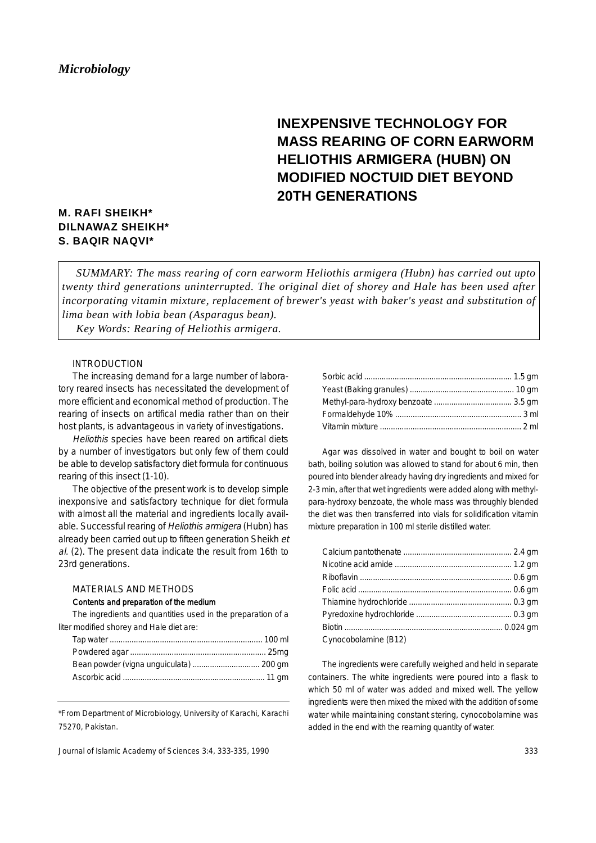# **INEXPENSIVE TECHNOLOGY FOR MASS REARING OF CORN EARWORM HELIOTHIS ARMIGERA (HUBN) ON MODIFIED NOCTUID DIET BEYOND 20TH GENERATIONS**

# **M. RAFI SHEIKH\* DILNAWAZ SHEIKH\* S. BAQIR NAQVI\***

*SUMMARY: The mass rearing of corn earworm Heliothis armigera (Hubn) has carried out upto twenty third generations uninterrupted. The original diet of shorey and Hale has been used after incorporating vitamin mixture, replacement of brewer's yeast with baker's yeast and substitution of lima bean with lobia bean (Asparagus bean).* 

*Key Words: Rearing of Heliothis armigera.* 

## INTRODUCTION

The increasing demand for a large number of laboratory reared insects has necessitated the development of more efficient and economical method of production. The rearing of insects on artifical media rather than on their host plants, is advantageous in variety of investigations.

Heliothis species have been reared on artifical diets by a number of investigators but only few of them could be able to develop satisfactory diet formula for continuous rearing of this insect (1-10).

The objective of the present work is to develop simple inexponsive and satisfactory technique for diet formula with almost all the material and ingredients locally available. Successful rearing of Heliothis armigera (Hubn) has already been carried out up to fifteen generation Sheikh et al. (2). The present data indicate the result from 16th to 23rd generations.

## MATERIALS AND METHODS

#### Contents and preparation of the medium

The ingredients and quantities used in the preparation of a liter modified shorey and Hale diet are:

\*From Department of Microbiology, University of Karachi, Karachi 75270, Pakistan.

Journal of Islamic Academy of Sciences 3:4, 333-335, 1990

Agar was dissolved in water and bought to boil on water bath, boiling solution was allowed to stand for about 6 min, then poured into blender already having dry ingredients and mixed for 2-3 min, after that wet ingredients were added along with methylpara-hydroxy benzoate, the whole mass was throughly blended the diet was then transferred into vials for solidification vitamin mixture preparation in 100 ml sterile distilled water.

| Cynocobolamine (B12) |  |
|----------------------|--|

Cynocobolamine (B12)

The ingredients were carefully weighed and held in separate containers. The white ingredients were poured into a flask to which 50 ml of water was added and mixed well. The yellow ingredients were then mixed the mixed with the addition of some water while maintaining constant stering, cynocobolamine was added in the end with the reaming quantity of water.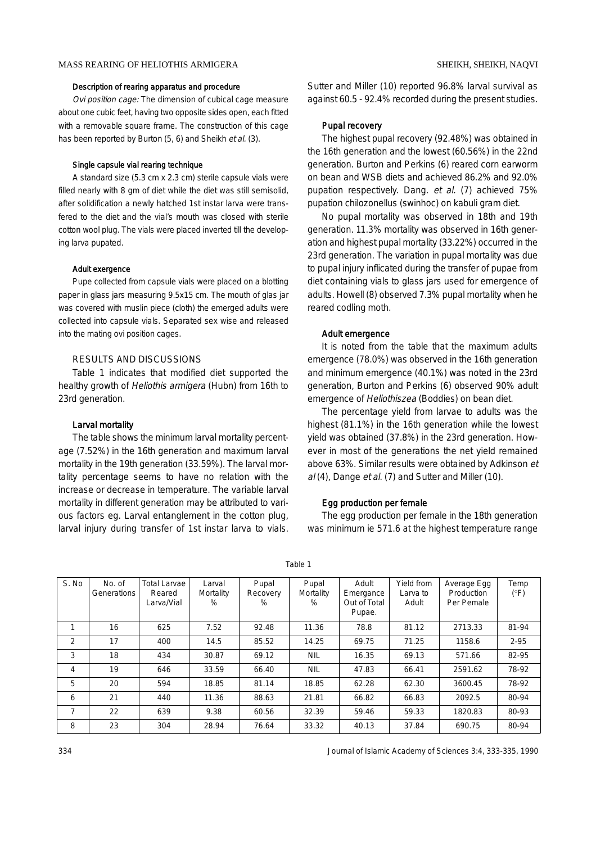## Description of rearing apparatus and procedure

Ovi position cage: The dimension of cubical cage measure about one cubic feet, having two opposite sides open, each fitted with a removable square frame. The construction of this cage has been reported by Burton (5, 6) and Sheikh et al. (3).

#### Single capsule vial rearing technique

A standard size (5.3 cm x 2.3 cm) sterile capsule vials were filled nearly with 8 gm of diet while the diet was still semisolid, after solidification a newly hatched 1st instar larva were transfered to the diet and the vial's mouth was closed with sterile cotton wool plug. The vials were placed inverted till the developing larva pupated.

#### Adult exergence

Pupe collected from capsule vials were placed on a blotting paper in glass jars measuring 9.5x15 cm. The mouth of glas jar was covered with muslin piece (cloth) the emerged adults were collected into capsule vials. Separated sex wise and released into the mating ovi position cages.

# RESULTS AND DISCUSSIONS

Table 1 indicates that modified diet supported the healthy growth of Heliothis armigera (Hubn) from 16th to 23rd generation.

#### Larval mortality

The table shows the minimum larval mortality percentage (7.52%) in the 16th generation and maximum larval mortality in the 19th generation (33.59%). The larval mortality percentage seems to have no relation with the increase or decrease in temperature. The variable larval mortality in different generation may be attributed to various factors eg. Larval entanglement in the cotton plug, larval injury during transfer of 1st instar larva to vials.

Sutter and Miller (10) reported 96.8% larval survival as against 60.5 - 92.4% recorded during the present studies.

# Pupal recovery

The highest pupal recovery (92.48%) was obtained in the 16th generation and the lowest (60.56%) in the 22nd generation. Burton and Perkins (6) reared corn earworm on bean and WSB diets and achieved 86.2% and 92.0% pupation respectively. Dang. et al. (7) achieved 75% pupation chilozonellus (swinhoc) on kabuli gram diet.

No pupal mortality was observed in 18th and 19th generation. 11.3% mortality was observed in 16th generation and highest pupal mortality (33.22%) occurred in the 23rd generation. The variation in pupal mortality was due to pupal injury inflicated during the transfer of pupae from diet containing vials to glass jars used for emergence of adults. Howell (8) observed 7.3% pupal mortality when he reared codling moth.

#### Adult emergence

It is noted from the table that the maximum adults emergence (78.0%) was observed in the 16th generation and minimum emergence (40.1%) was noted in the 23rd generation, Burton and Perkins (6) observed 90% adult emergence of Heliothiszea (Boddies) on bean diet.

The percentage yield from larvae to adults was the highest (81.1%) in the 16th generation while the lowest yield was obtained (37.8%) in the 23rd generation. However in most of the generations the net yield remained above 63%. Similar results were obtained by Adkinson et al (4), Dange et al. (7) and Sutter and Miller (10).

#### Egg production per female

The egg production per female in the 18th generation was minimum ie 571.6 at the highest temperature range

| S. No | No. of<br>Generations | <b>Total Larvae</b><br>Reared<br>Larva/Vial | Larval<br>Mortality<br>% | Pupal<br>Recovery<br>% | Pupal<br>Mortality<br>% | Adult<br>Emergance<br>Out of Total<br>Pupae. | Yield from<br>Larva to<br>Adult | Average Egg<br>Production<br>Per Pemale | Temp<br>$(^{\circ}F)$ |
|-------|-----------------------|---------------------------------------------|--------------------------|------------------------|-------------------------|----------------------------------------------|---------------------------------|-----------------------------------------|-----------------------|
|       | 16                    | 625                                         | 7.52                     | 92.48                  | 11.36                   | 78.8                                         | 81.12                           | 2713.33                                 | 81-94                 |
| 2     | 17                    | 400                                         | 14.5                     | 85.52                  | 14.25                   | 69.75                                        | 71.25                           | 1158.6                                  | $2 - 95$              |
| 3     | 18                    | 434                                         | 30.87                    | 69.12                  | <b>NIL</b>              | 16.35                                        | 69.13                           | 571.66                                  | 82-95                 |
| 4     | 19                    | 646                                         | 33.59                    | 66.40                  | <b>NIL</b>              | 47.83                                        | 66.41                           | 2591.62                                 | 78-92                 |
| 5     | 20                    | 594                                         | 18.85                    | 81.14                  | 18.85                   | 62.28                                        | 62.30                           | 3600.45                                 | 78-92                 |
| 6     | 21                    | 440                                         | 11.36                    | 88.63                  | 21.81                   | 66.82                                        | 66.83                           | 2092.5                                  | 80-94                 |
| 7     | 22                    | 639                                         | 9.38                     | 60.56                  | 32.39                   | 59.46                                        | 59.33                           | 1820.83                                 | 80-93                 |
| 8     | 23                    | 304                                         | 28.94                    | 76.64                  | 33.32                   | 40.13                                        | 37.84                           | 690.75                                  | 80-94                 |

Table 1

334 Journal of Islamic Academy of Sciences 3:4, 333-335, 1990